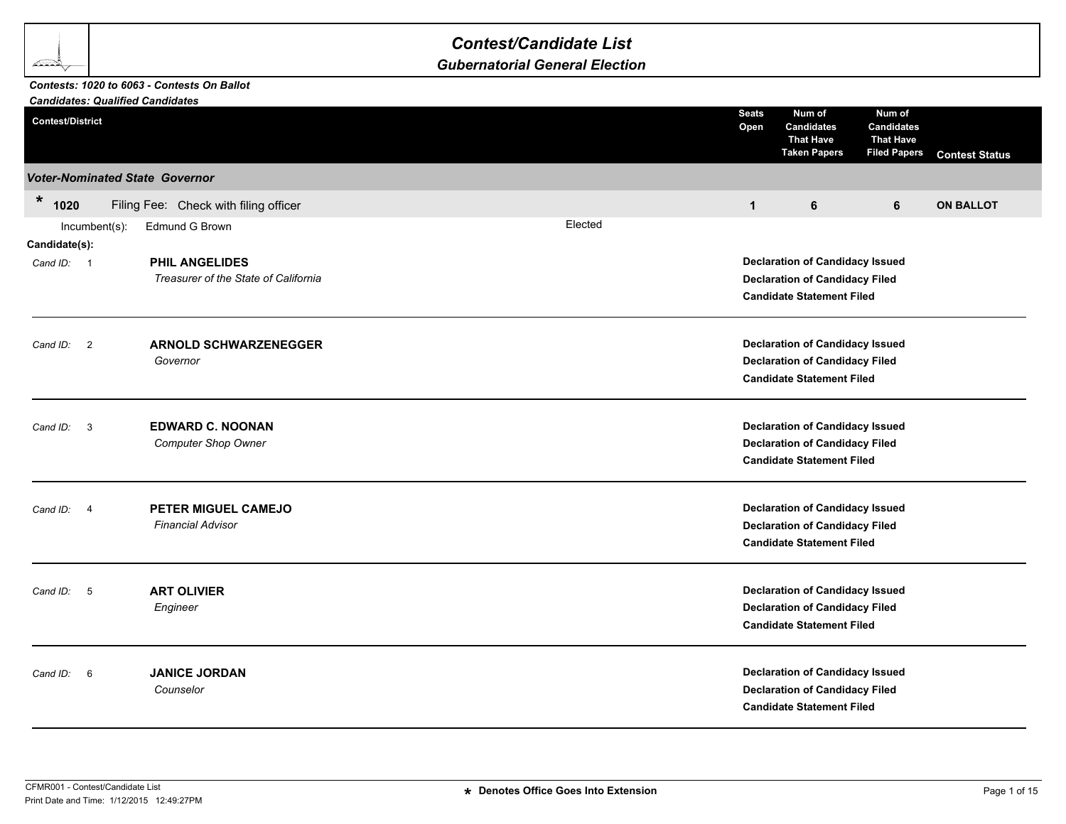## *Gubernatorial General Election*

## *Candidates: Qualified Candidates Contests: 1020 to 6063 - Contests On Ballot*

**BAR** 

| <b>Candidates: Qualified Candidates</b> |               |                                                               |  |         |                                                                                                                     |                                                                                                                     |                                                                        |                       |  |
|-----------------------------------------|---------------|---------------------------------------------------------------|--|---------|---------------------------------------------------------------------------------------------------------------------|---------------------------------------------------------------------------------------------------------------------|------------------------------------------------------------------------|-----------------------|--|
| <b>Contest/District</b>                 |               |                                                               |  |         | <b>Seats</b><br>Open                                                                                                | Num of<br><b>Candidates</b><br><b>That Have</b><br><b>Taken Papers</b>                                              | Num of<br><b>Candidates</b><br><b>That Have</b><br><b>Filed Papers</b> | <b>Contest Status</b> |  |
|                                         |               | <b>Voter-Nominated State Governor</b>                         |  |         |                                                                                                                     |                                                                                                                     |                                                                        |                       |  |
| $\star$<br>1020                         |               | Filing Fee: Check with filing officer                         |  |         | $\mathbf{1}$                                                                                                        | 6                                                                                                                   | 6                                                                      | <b>ON BALLOT</b>      |  |
|                                         | Incumbent(s): | Edmund G Brown                                                |  | Elected |                                                                                                                     |                                                                                                                     |                                                                        |                       |  |
| Candidate(s):                           |               |                                                               |  |         |                                                                                                                     |                                                                                                                     |                                                                        |                       |  |
| Cand ID: 1                              |               | <b>PHIL ANGELIDES</b><br>Treasurer of the State of California |  |         | <b>Declaration of Candidacy Issued</b><br><b>Declaration of Candidacy Filed</b><br><b>Candidate Statement Filed</b> |                                                                                                                     |                                                                        |                       |  |
| Cand ID: 2                              |               | <b>ARNOLD SCHWARZENEGGER</b><br>Governor                      |  |         |                                                                                                                     | <b>Declaration of Candidacy Issued</b><br><b>Declaration of Candidacy Filed</b><br><b>Candidate Statement Filed</b> |                                                                        |                       |  |
| Cand ID: 3                              |               | <b>EDWARD C. NOONAN</b><br><b>Computer Shop Owner</b>         |  |         |                                                                                                                     | <b>Declaration of Candidacy Issued</b><br><b>Declaration of Candidacy Filed</b><br><b>Candidate Statement Filed</b> |                                                                        |                       |  |
| Cand ID: 4                              |               | PETER MIGUEL CAMEJO<br><b>Financial Advisor</b>               |  |         |                                                                                                                     | <b>Declaration of Candidacy Issued</b><br><b>Declaration of Candidacy Filed</b><br><b>Candidate Statement Filed</b> |                                                                        |                       |  |
| Cand ID:                                | 5             | <b>ART OLIVIER</b><br>Engineer                                |  |         |                                                                                                                     | <b>Declaration of Candidacy Issued</b><br><b>Declaration of Candidacy Filed</b><br><b>Candidate Statement Filed</b> |                                                                        |                       |  |
| Cand ID:                                | 6             | <b>JANICE JORDAN</b><br>Counselor                             |  |         |                                                                                                                     | <b>Declaration of Candidacy Issued</b><br><b>Declaration of Candidacy Filed</b><br><b>Candidate Statement Filed</b> |                                                                        |                       |  |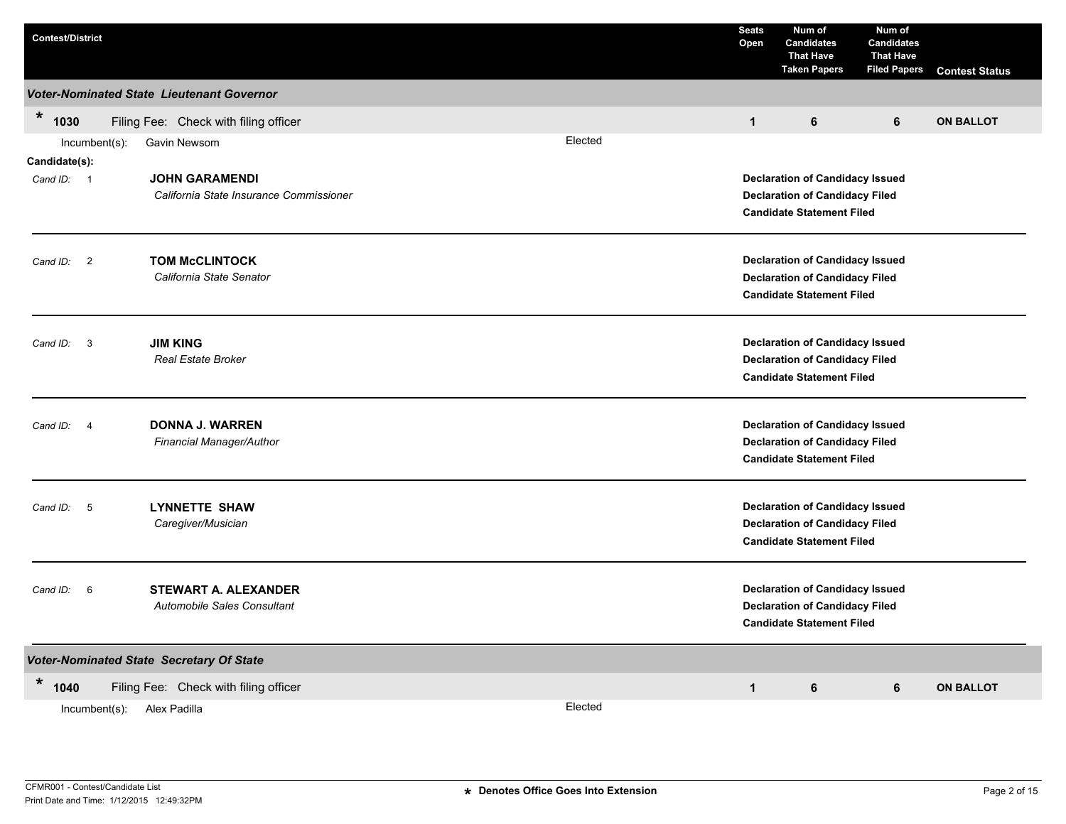| <b>Contest/District</b>             |                                                                  | <b>Seats</b><br>Open | Num of<br><b>Candidates</b><br><b>That Have</b><br><b>Taken Papers</b>                                              | Num of<br><b>Candidates</b><br><b>That Have</b><br><b>Filed Papers</b> | <b>Contest Status</b> |                  |  |  |
|-------------------------------------|------------------------------------------------------------------|----------------------|---------------------------------------------------------------------------------------------------------------------|------------------------------------------------------------------------|-----------------------|------------------|--|--|
|                                     | Voter-Nominated State Lieutenant Governor                        |                      |                                                                                                                     |                                                                        |                       |                  |  |  |
| $\ast$<br>1030                      | Filing Fee: Check with filing officer                            |                      | $\mathbf{1}$                                                                                                        | 6                                                                      | 6                     | <b>ON BALLOT</b> |  |  |
| Incumbent(s):<br>Candidate(s):      | Gavin Newsom                                                     | Elected              |                                                                                                                     |                                                                        |                       |                  |  |  |
| Cand ID: 1                          | <b>JOHN GARAMENDI</b><br>California State Insurance Commissioner |                      | <b>Declaration of Candidacy Issued</b><br><b>Declaration of Candidacy Filed</b><br><b>Candidate Statement Filed</b> |                                                                        |                       |                  |  |  |
| Cand ID:<br>$\overline{2}$          | <b>TOM McCLINTOCK</b><br>California State Senator                |                      | <b>Declaration of Candidacy Issued</b><br><b>Declaration of Candidacy Filed</b><br><b>Candidate Statement Filed</b> |                                                                        |                       |                  |  |  |
| $\overline{\mathbf{3}}$<br>Cand ID: | <b>JIM KING</b><br><b>Real Estate Broker</b>                     |                      | <b>Declaration of Candidacy Issued</b><br><b>Declaration of Candidacy Filed</b><br><b>Candidate Statement Filed</b> |                                                                        |                       |                  |  |  |
| Cand ID: 4                          | <b>DONNA J. WARREN</b><br>Financial Manager/Author               |                      | <b>Declaration of Candidacy Issued</b><br><b>Declaration of Candidacy Filed</b><br><b>Candidate Statement Filed</b> |                                                                        |                       |                  |  |  |
| 5<br>Cand ID:                       | <b>LYNNETTE SHAW</b><br>Caregiver/Musician                       |                      | <b>Declaration of Candidacy Issued</b><br><b>Declaration of Candidacy Filed</b><br><b>Candidate Statement Filed</b> |                                                                        |                       |                  |  |  |
| Cand ID:<br>6                       | <b>STEWART A. ALEXANDER</b><br>Automobile Sales Consultant       |                      | <b>Declaration of Candidacy Issued</b><br><b>Declaration of Candidacy Filed</b><br><b>Candidate Statement Filed</b> |                                                                        |                       |                  |  |  |
|                                     | Voter-Nominated State Secretary Of State                         |                      |                                                                                                                     |                                                                        |                       |                  |  |  |
| *<br>1040                           | Filing Fee: Check with filing officer                            |                      | $\mathbf{1}$                                                                                                        | 6                                                                      | 6                     | <b>ON BALLOT</b> |  |  |
| Incumbent(s):                       | Alex Padilla                                                     | Elected              |                                                                                                                     |                                                                        |                       |                  |  |  |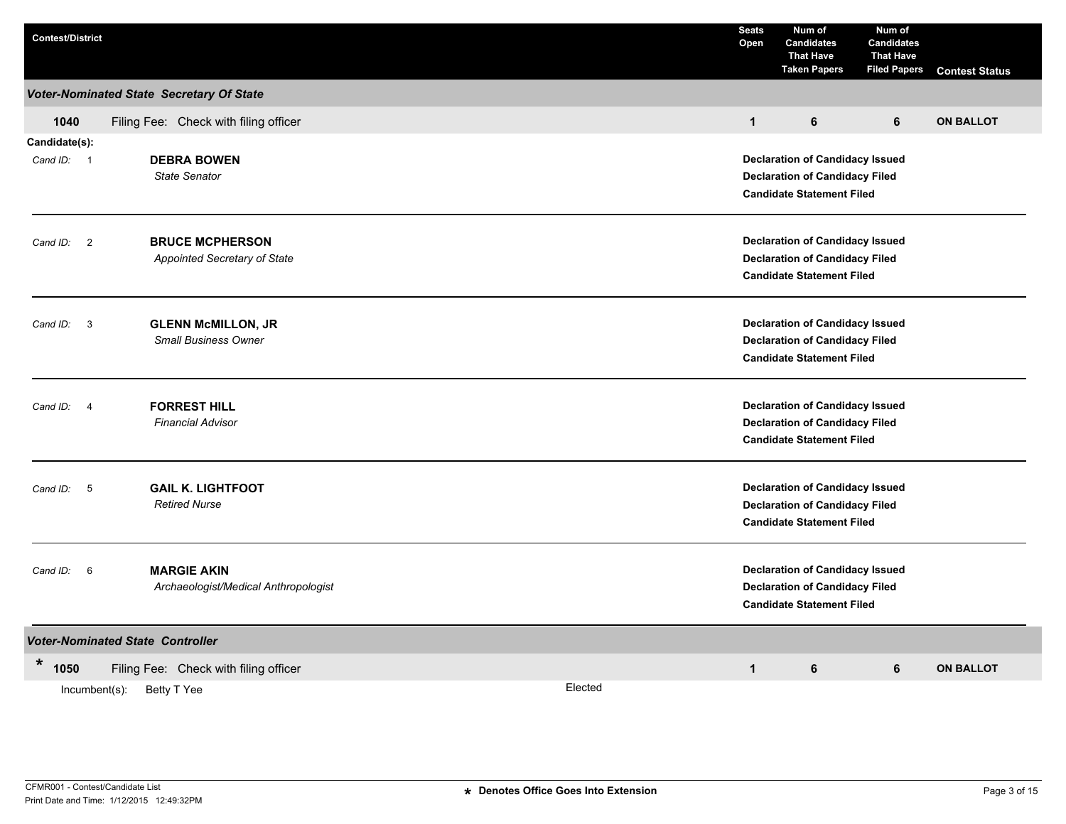| <b>Voter-Nominated State Secretary Of State</b><br>1040<br>Filing Fee: Check with filing officer<br>$\mathbf{1}$<br>6<br>6<br>Candidate(s):<br><b>DEBRA BOWEN</b><br><b>Declaration of Candidacy Issued</b><br>Cand ID: 1<br><b>State Senator</b><br><b>Declaration of Candidacy Filed</b><br><b>Candidate Statement Filed</b> | <b>Contest Status</b>                                                           |  |  |  |  |  |  |  |
|--------------------------------------------------------------------------------------------------------------------------------------------------------------------------------------------------------------------------------------------------------------------------------------------------------------------------------|---------------------------------------------------------------------------------|--|--|--|--|--|--|--|
|                                                                                                                                                                                                                                                                                                                                |                                                                                 |  |  |  |  |  |  |  |
|                                                                                                                                                                                                                                                                                                                                | <b>ON BALLOT</b>                                                                |  |  |  |  |  |  |  |
|                                                                                                                                                                                                                                                                                                                                |                                                                                 |  |  |  |  |  |  |  |
|                                                                                                                                                                                                                                                                                                                                |                                                                                 |  |  |  |  |  |  |  |
|                                                                                                                                                                                                                                                                                                                                |                                                                                 |  |  |  |  |  |  |  |
|                                                                                                                                                                                                                                                                                                                                |                                                                                 |  |  |  |  |  |  |  |
| <b>BRUCE MCPHERSON</b><br><b>Declaration of Candidacy Issued</b><br>$\overline{\phantom{a}}$<br>Cand ID:                                                                                                                                                                                                                       |                                                                                 |  |  |  |  |  |  |  |
| Appointed Secretary of State<br><b>Declaration of Candidacy Filed</b>                                                                                                                                                                                                                                                          |                                                                                 |  |  |  |  |  |  |  |
| <b>Candidate Statement Filed</b>                                                                                                                                                                                                                                                                                               |                                                                                 |  |  |  |  |  |  |  |
|                                                                                                                                                                                                                                                                                                                                |                                                                                 |  |  |  |  |  |  |  |
| <b>GLENN McMILLON, JR</b><br><b>Declaration of Candidacy Issued</b><br>Cand ID:<br>$\overline{\mathbf{3}}$<br><b>Small Business Owner</b><br><b>Declaration of Candidacy Filed</b>                                                                                                                                             |                                                                                 |  |  |  |  |  |  |  |
| <b>Candidate Statement Filed</b>                                                                                                                                                                                                                                                                                               |                                                                                 |  |  |  |  |  |  |  |
|                                                                                                                                                                                                                                                                                                                                |                                                                                 |  |  |  |  |  |  |  |
| <b>FORREST HILL</b><br>Cand ID: 4<br><b>Financial Advisor</b>                                                                                                                                                                                                                                                                  | <b>Declaration of Candidacy Issued</b><br><b>Declaration of Candidacy Filed</b> |  |  |  |  |  |  |  |
| <b>Candidate Statement Filed</b>                                                                                                                                                                                                                                                                                               |                                                                                 |  |  |  |  |  |  |  |
|                                                                                                                                                                                                                                                                                                                                |                                                                                 |  |  |  |  |  |  |  |
| <b>GAIL K. LIGHTFOOT</b><br><b>Declaration of Candidacy Issued</b><br>Cand ID: 5<br><b>Declaration of Candidacy Filed</b><br><b>Retired Nurse</b>                                                                                                                                                                              |                                                                                 |  |  |  |  |  |  |  |
| <b>Candidate Statement Filed</b>                                                                                                                                                                                                                                                                                               |                                                                                 |  |  |  |  |  |  |  |
| <b>Declaration of Candidacy Issued</b>                                                                                                                                                                                                                                                                                         |                                                                                 |  |  |  |  |  |  |  |
| <b>MARGIE AKIN</b><br>Cand ID: 6<br>Archaeologist/Medical Anthropologist<br><b>Declaration of Candidacy Filed</b>                                                                                                                                                                                                              |                                                                                 |  |  |  |  |  |  |  |
| <b>Candidate Statement Filed</b>                                                                                                                                                                                                                                                                                               |                                                                                 |  |  |  |  |  |  |  |
| <b>Voter-Nominated State Controller</b>                                                                                                                                                                                                                                                                                        |                                                                                 |  |  |  |  |  |  |  |
| *<br>1050<br>Filing Fee: Check with filing officer<br>$\mathbf{1}$<br>6<br>6                                                                                                                                                                                                                                                   | <b>ON BALLOT</b>                                                                |  |  |  |  |  |  |  |
| Elected<br>Incumbent(s):<br>Betty T Yee                                                                                                                                                                                                                                                                                        |                                                                                 |  |  |  |  |  |  |  |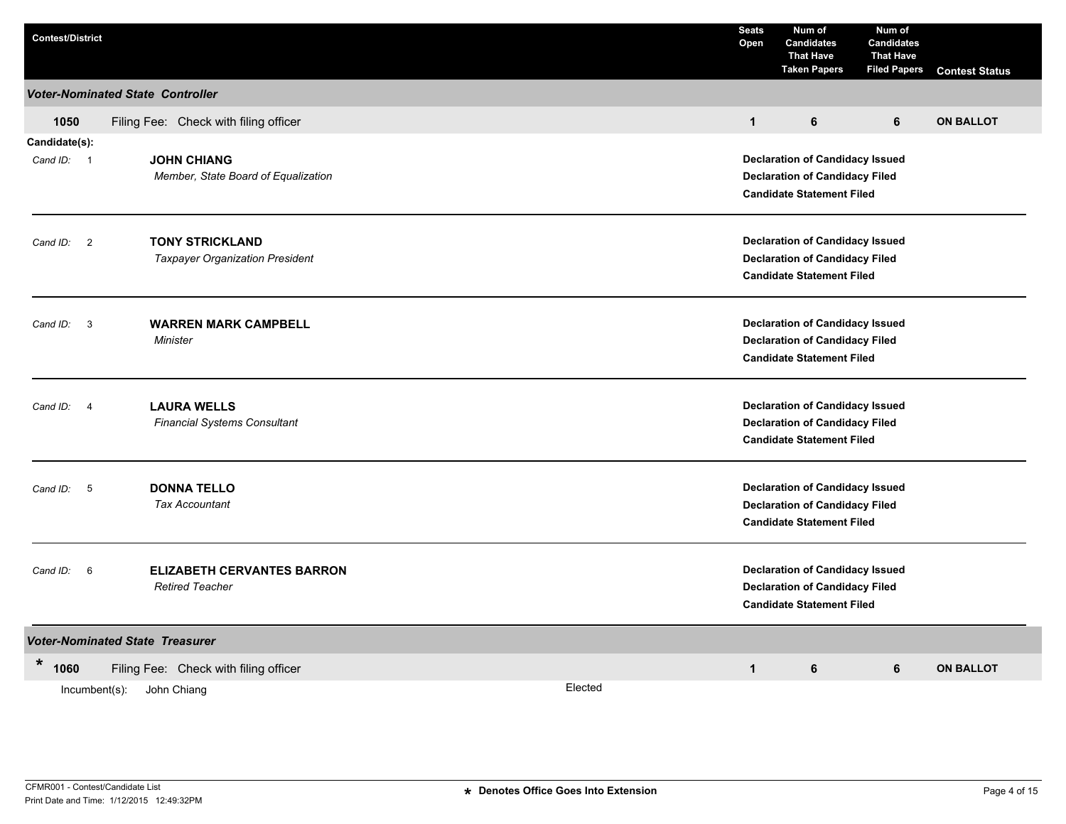| <b>Contest/District</b>             |                                                             |                                                                           | <b>Seats</b><br>Open                                                            | Num of<br><b>Candidates</b><br><b>That Have</b><br><b>Taken Papers</b> | Num of<br><b>Candidates</b><br><b>That Have</b><br><b>Filed Papers</b> | <b>Contest Status</b> |  |  |  |
|-------------------------------------|-------------------------------------------------------------|---------------------------------------------------------------------------|---------------------------------------------------------------------------------|------------------------------------------------------------------------|------------------------------------------------------------------------|-----------------------|--|--|--|
|                                     | <b>Voter-Nominated State Controller</b>                     |                                                                           |                                                                                 |                                                                        |                                                                        |                       |  |  |  |
| 1050                                | Filing Fee: Check with filing officer                       |                                                                           | $\mathbf{1}$                                                                    | 6                                                                      | 6                                                                      | <b>ON BALLOT</b>      |  |  |  |
| Candidate(s):                       |                                                             |                                                                           |                                                                                 |                                                                        |                                                                        |                       |  |  |  |
| Cand ID: 1                          | <b>JOHN CHIANG</b>                                          |                                                                           | <b>Declaration of Candidacy Issued</b>                                          |                                                                        |                                                                        |                       |  |  |  |
|                                     | Member, State Board of Equalization                         |                                                                           |                                                                                 | <b>Declaration of Candidacy Filed</b>                                  |                                                                        |                       |  |  |  |
|                                     |                                                             |                                                                           | <b>Candidate Statement Filed</b>                                                |                                                                        |                                                                        |                       |  |  |  |
|                                     | <b>TONY STRICKLAND</b>                                      |                                                                           |                                                                                 | <b>Declaration of Candidacy Issued</b>                                 |                                                                        |                       |  |  |  |
| Cand ID: 2                          | <b>Taxpayer Organization President</b>                      |                                                                           | <b>Declaration of Candidacy Filed</b>                                           |                                                                        |                                                                        |                       |  |  |  |
|                                     |                                                             |                                                                           |                                                                                 | <b>Candidate Statement Filed</b>                                       |                                                                        |                       |  |  |  |
|                                     |                                                             |                                                                           |                                                                                 |                                                                        |                                                                        |                       |  |  |  |
| $\overline{\mathbf{3}}$<br>Cand ID: | <b>WARREN MARK CAMPBELL</b>                                 |                                                                           | <b>Declaration of Candidacy Issued</b><br><b>Declaration of Candidacy Filed</b> |                                                                        |                                                                        |                       |  |  |  |
|                                     | Minister                                                    |                                                                           | <b>Candidate Statement Filed</b>                                                |                                                                        |                                                                        |                       |  |  |  |
|                                     |                                                             |                                                                           |                                                                                 |                                                                        |                                                                        |                       |  |  |  |
| $\overline{4}$<br>Cand ID:          | <b>LAURA WELLS</b>                                          |                                                                           |                                                                                 | <b>Declaration of Candidacy Issued</b>                                 |                                                                        |                       |  |  |  |
|                                     | <b>Financial Systems Consultant</b>                         |                                                                           |                                                                                 | <b>Declaration of Candidacy Filed</b>                                  |                                                                        |                       |  |  |  |
|                                     |                                                             |                                                                           |                                                                                 | <b>Candidate Statement Filed</b>                                       |                                                                        |                       |  |  |  |
| Cand ID: 5                          | <b>DONNA TELLO</b>                                          |                                                                           |                                                                                 | <b>Declaration of Candidacy Issued</b>                                 |                                                                        |                       |  |  |  |
|                                     | <b>Tax Accountant</b>                                       |                                                                           |                                                                                 | <b>Declaration of Candidacy Filed</b>                                  |                                                                        |                       |  |  |  |
|                                     |                                                             |                                                                           |                                                                                 | <b>Candidate Statement Filed</b>                                       |                                                                        |                       |  |  |  |
|                                     |                                                             |                                                                           |                                                                                 |                                                                        |                                                                        |                       |  |  |  |
| Cand ID:<br>6                       | <b>ELIZABETH CERVANTES BARRON</b><br><b>Retired Teacher</b> |                                                                           |                                                                                 | <b>Declaration of Candidacy Issued</b>                                 |                                                                        |                       |  |  |  |
|                                     |                                                             | <b>Declaration of Candidacy Filed</b><br><b>Candidate Statement Filed</b> |                                                                                 |                                                                        |                                                                        |                       |  |  |  |
|                                     |                                                             |                                                                           |                                                                                 |                                                                        |                                                                        |                       |  |  |  |
|                                     | <b>Voter-Nominated State Treasurer</b>                      |                                                                           |                                                                                 |                                                                        |                                                                        |                       |  |  |  |
| *<br>1060                           | Filing Fee: Check with filing officer                       |                                                                           | $\mathbf{1}$                                                                    | 6                                                                      | 6                                                                      | <b>ON BALLOT</b>      |  |  |  |
| $Incumbent(s)$ :                    | John Chiang                                                 | Elected                                                                   |                                                                                 |                                                                        |                                                                        |                       |  |  |  |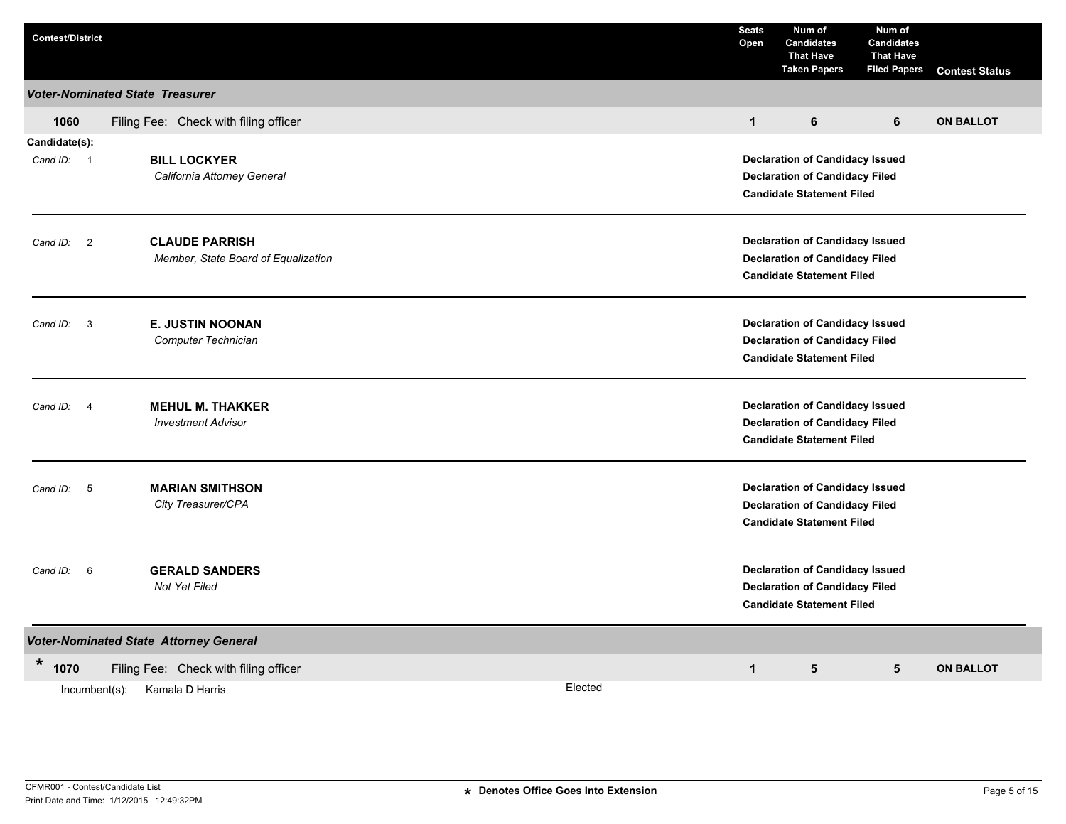| <b>Contest/District</b>          |                                                      |         | <b>Seats</b><br>Open                                                            | Num of<br><b>Candidates</b><br><b>That Have</b><br><b>Taken Papers</b>          | Num of<br><b>Candidates</b><br><b>That Have</b><br><b>Filed Papers</b> | <b>Contest Status</b> |  |  |  |  |
|----------------------------------|------------------------------------------------------|---------|---------------------------------------------------------------------------------|---------------------------------------------------------------------------------|------------------------------------------------------------------------|-----------------------|--|--|--|--|
|                                  | <b>Voter-Nominated State Treasurer</b>               |         |                                                                                 |                                                                                 |                                                                        |                       |  |  |  |  |
| 1060                             | Filing Fee: Check with filing officer                |         | $\mathbf{1}$                                                                    | 6                                                                               | 6                                                                      | <b>ON BALLOT</b>      |  |  |  |  |
| Candidate(s):                    |                                                      |         |                                                                                 |                                                                                 |                                                                        |                       |  |  |  |  |
| Cand ID: 1                       | <b>BILL LOCKYER</b>                                  |         | <b>Declaration of Candidacy Issued</b>                                          |                                                                                 |                                                                        |                       |  |  |  |  |
|                                  | California Attorney General                          |         | <b>Declaration of Candidacy Filed</b>                                           |                                                                                 |                                                                        |                       |  |  |  |  |
|                                  |                                                      |         |                                                                                 | <b>Candidate Statement Filed</b>                                                |                                                                        |                       |  |  |  |  |
| $\overline{c}$                   | <b>CLAUDE PARRISH</b>                                |         |                                                                                 | <b>Declaration of Candidacy Issued</b>                                          |                                                                        |                       |  |  |  |  |
| Cand ID:                         | Member, State Board of Equalization                  |         |                                                                                 | <b>Declaration of Candidacy Filed</b>                                           |                                                                        |                       |  |  |  |  |
|                                  |                                                      |         |                                                                                 | <b>Candidate Statement Filed</b>                                                |                                                                        |                       |  |  |  |  |
|                                  |                                                      |         |                                                                                 |                                                                                 |                                                                        |                       |  |  |  |  |
| Cand ID:<br>$\mathbf{3}$         | <b>E. JUSTIN NOONAN</b><br>Computer Technician       |         |                                                                                 | <b>Declaration of Candidacy Issued</b><br><b>Declaration of Candidacy Filed</b> |                                                                        |                       |  |  |  |  |
|                                  |                                                      |         | <b>Candidate Statement Filed</b>                                                |                                                                                 |                                                                        |                       |  |  |  |  |
|                                  |                                                      |         |                                                                                 |                                                                                 |                                                                        |                       |  |  |  |  |
| Cand ID:<br>$\overline{4}$       | <b>MEHUL M. THAKKER</b><br><b>Investment Advisor</b> |         | <b>Declaration of Candidacy Issued</b><br><b>Declaration of Candidacy Filed</b> |                                                                                 |                                                                        |                       |  |  |  |  |
|                                  |                                                      |         | <b>Candidate Statement Filed</b>                                                |                                                                                 |                                                                        |                       |  |  |  |  |
|                                  | <b>MARIAN SMITHSON</b>                               |         |                                                                                 | <b>Declaration of Candidacy Issued</b>                                          |                                                                        |                       |  |  |  |  |
| Cand ID: 5                       | City Treasurer/CPA                                   |         |                                                                                 | <b>Declaration of Candidacy Filed</b>                                           |                                                                        |                       |  |  |  |  |
|                                  |                                                      |         |                                                                                 | <b>Candidate Statement Filed</b>                                                |                                                                        |                       |  |  |  |  |
| $6\overline{6}$                  | <b>GERALD SANDERS</b>                                |         |                                                                                 | <b>Declaration of Candidacy Issued</b>                                          |                                                                        |                       |  |  |  |  |
| Cand ID:                         | <b>Not Yet Filed</b>                                 |         |                                                                                 | <b>Declaration of Candidacy Filed</b>                                           |                                                                        |                       |  |  |  |  |
| <b>Candidate Statement Filed</b> |                                                      |         |                                                                                 |                                                                                 |                                                                        |                       |  |  |  |  |
|                                  | <b>Voter-Nominated State Attorney General</b>        |         |                                                                                 |                                                                                 |                                                                        |                       |  |  |  |  |
| $\star$<br>1070                  | Filing Fee: Check with filing officer                |         | $\mathbf 1$                                                                     | $5\phantom{.0}$                                                                 | 5                                                                      | <b>ON BALLOT</b>      |  |  |  |  |
| Incumbent(s):                    | Kamala D Harris                                      | Elected |                                                                                 |                                                                                 |                                                                        |                       |  |  |  |  |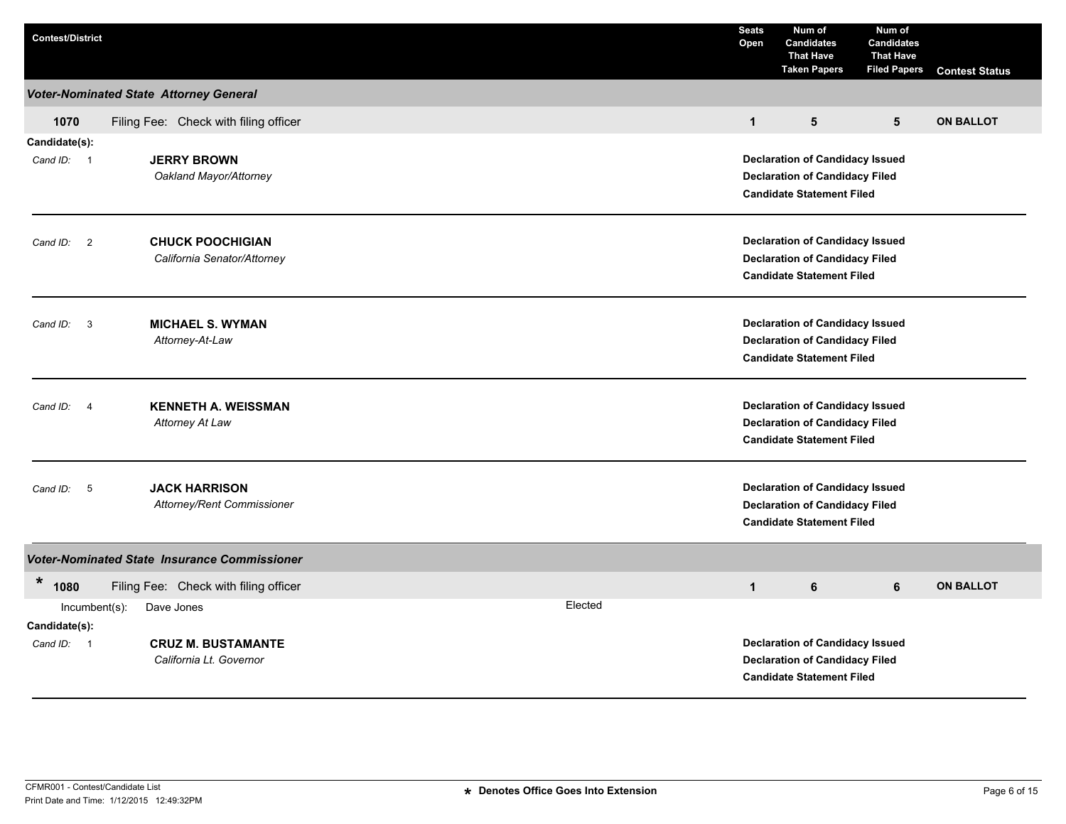| <b>Contest/District</b>           |                                                     |  |         | <b>Seats</b><br>Open                                                            | Num of<br><b>Candidates</b><br><b>That Have</b><br><b>Taken Papers</b>    | Num of<br><b>Candidates</b><br><b>That Have</b><br><b>Filed Papers</b> | <b>Contest Status</b> |  |  |  |  |
|-----------------------------------|-----------------------------------------------------|--|---------|---------------------------------------------------------------------------------|---------------------------------------------------------------------------|------------------------------------------------------------------------|-----------------------|--|--|--|--|
|                                   | <b>Voter-Nominated State Attorney General</b>       |  |         |                                                                                 |                                                                           |                                                                        |                       |  |  |  |  |
| 1070                              | Filing Fee: Check with filing officer               |  |         | $\mathbf{1}$                                                                    | 5                                                                         | $5\phantom{.0}$                                                        | <b>ON BALLOT</b>      |  |  |  |  |
| Candidate(s):                     |                                                     |  |         |                                                                                 |                                                                           |                                                                        |                       |  |  |  |  |
| Cand ID: 1                        | <b>JERRY BROWN</b>                                  |  |         |                                                                                 | <b>Declaration of Candidacy Issued</b>                                    |                                                                        |                       |  |  |  |  |
|                                   | Oakland Mayor/Attorney                              |  |         |                                                                                 | <b>Declaration of Candidacy Filed</b><br><b>Candidate Statement Filed</b> |                                                                        |                       |  |  |  |  |
|                                   |                                                     |  |         |                                                                                 |                                                                           |                                                                        |                       |  |  |  |  |
| Cand ID: 2                        | <b>CHUCK POOCHIGIAN</b>                             |  |         | <b>Declaration of Candidacy Issued</b>                                          |                                                                           |                                                                        |                       |  |  |  |  |
|                                   | California Senator/Attorney                         |  |         |                                                                                 | <b>Declaration of Candidacy Filed</b>                                     |                                                                        |                       |  |  |  |  |
|                                   |                                                     |  |         |                                                                                 | <b>Candidate Statement Filed</b>                                          |                                                                        |                       |  |  |  |  |
| Cand ID: 3                        | <b>MICHAEL S. WYMAN</b>                             |  |         | <b>Declaration of Candidacy Issued</b>                                          |                                                                           |                                                                        |                       |  |  |  |  |
|                                   | Attorney-At-Law                                     |  |         | <b>Declaration of Candidacy Filed</b>                                           |                                                                           |                                                                        |                       |  |  |  |  |
|                                   |                                                     |  |         |                                                                                 | <b>Candidate Statement Filed</b>                                          |                                                                        |                       |  |  |  |  |
| Cand ID: 4                        | <b>KENNETH A. WEISSMAN</b>                          |  |         |                                                                                 |                                                                           |                                                                        |                       |  |  |  |  |
|                                   | Attorney At Law                                     |  |         | <b>Declaration of Candidacy Issued</b><br><b>Declaration of Candidacy Filed</b> |                                                                           |                                                                        |                       |  |  |  |  |
|                                   |                                                     |  |         |                                                                                 | <b>Candidate Statement Filed</b>                                          |                                                                        |                       |  |  |  |  |
| $-5$<br>Cand ID:                  | <b>JACK HARRISON</b>                                |  |         |                                                                                 | <b>Declaration of Candidacy Issued</b>                                    |                                                                        |                       |  |  |  |  |
|                                   | Attorney/Rent Commissioner                          |  |         |                                                                                 | <b>Declaration of Candidacy Filed</b>                                     |                                                                        |                       |  |  |  |  |
|                                   |                                                     |  |         |                                                                                 | <b>Candidate Statement Filed</b>                                          |                                                                        |                       |  |  |  |  |
|                                   | <b>Voter-Nominated State Insurance Commissioner</b> |  |         |                                                                                 |                                                                           |                                                                        |                       |  |  |  |  |
| $\ast$<br>1080                    | Filing Fee: Check with filing officer               |  |         | $\mathbf{1}$                                                                    | 6                                                                         | 6                                                                      | <b>ON BALLOT</b>      |  |  |  |  |
| $Incumbent(s)$ :<br>Candidate(s): | Dave Jones                                          |  | Elected |                                                                                 |                                                                           |                                                                        |                       |  |  |  |  |
| Cand ID: 1                        | <b>CRUZ M. BUSTAMANTE</b>                           |  |         |                                                                                 | <b>Declaration of Candidacy Issued</b>                                    |                                                                        |                       |  |  |  |  |
|                                   | California Lt. Governor                             |  |         |                                                                                 | <b>Declaration of Candidacy Filed</b>                                     |                                                                        |                       |  |  |  |  |
|                                   |                                                     |  |         |                                                                                 | <b>Candidate Statement Filed</b>                                          |                                                                        |                       |  |  |  |  |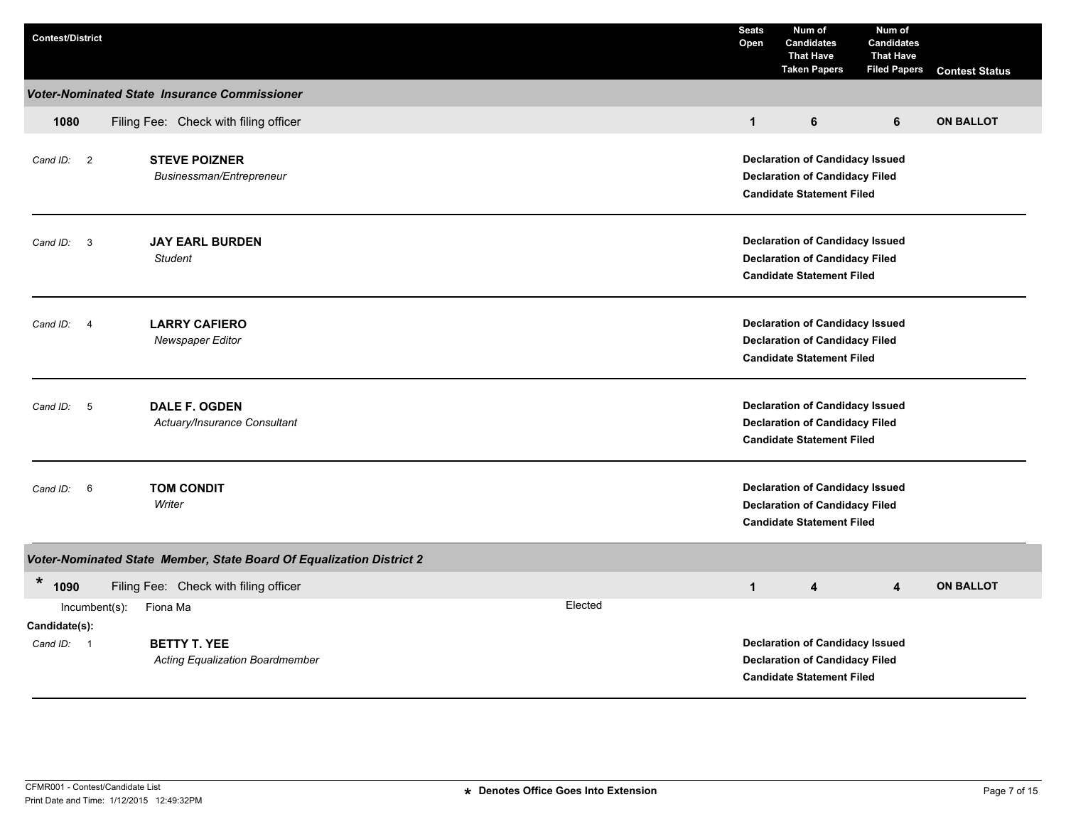| <b>Contest/District</b>                                                   |                                                                               | <b>Seats</b><br>Open                                                                                                | Num of<br><b>Candidates</b><br><b>That Have</b><br><b>Taken Papers</b>                                              | Num of<br><b>Candidates</b><br><b>That Have</b><br><b>Filed Papers</b> | <b>Contest Status</b> |  |  |  |
|---------------------------------------------------------------------------|-------------------------------------------------------------------------------|---------------------------------------------------------------------------------------------------------------------|---------------------------------------------------------------------------------------------------------------------|------------------------------------------------------------------------|-----------------------|--|--|--|
|                                                                           | <b>Voter-Nominated State Insurance Commissioner</b>                           |                                                                                                                     |                                                                                                                     |                                                                        |                       |  |  |  |
| 1080                                                                      | Filing Fee: Check with filing officer                                         | $\mathbf{1}$                                                                                                        | 6                                                                                                                   | 6                                                                      | <b>ON BALLOT</b>      |  |  |  |
| Cand ID: 2                                                                | <b>STEVE POIZNER</b><br>Businessman/Entrepreneur                              |                                                                                                                     | <b>Declaration of Candidacy Issued</b><br><b>Declaration of Candidacy Filed</b><br><b>Candidate Statement Filed</b> |                                                                        |                       |  |  |  |
| $\mathbf{3}$<br>Cand ID:                                                  | <b>JAY EARL BURDEN</b><br><b>Student</b>                                      | <b>Declaration of Candidacy Issued</b><br><b>Declaration of Candidacy Filed</b><br><b>Candidate Statement Filed</b> |                                                                                                                     |                                                                        |                       |  |  |  |
| Cand ID:<br>$\overline{4}$                                                | <b>LARRY CAFIERO</b><br><b>Newspaper Editor</b>                               | <b>Declaration of Candidacy Issued</b><br><b>Declaration of Candidacy Filed</b><br><b>Candidate Statement Filed</b> |                                                                                                                     |                                                                        |                       |  |  |  |
| 5<br>Cand ID:                                                             | <b>DALE F. OGDEN</b><br>Actuary/Insurance Consultant                          |                                                                                                                     | <b>Declaration of Candidacy Issued</b><br><b>Declaration of Candidacy Filed</b><br><b>Candidate Statement Filed</b> |                                                                        |                       |  |  |  |
| 6<br>Cand ID:                                                             | <b>TOM CONDIT</b><br>Writer                                                   |                                                                                                                     | <b>Declaration of Candidacy Issued</b><br><b>Declaration of Candidacy Filed</b><br><b>Candidate Statement Filed</b> |                                                                        |                       |  |  |  |
|                                                                           | Voter-Nominated State Member, State Board Of Equalization District 2          |                                                                                                                     |                                                                                                                     |                                                                        |                       |  |  |  |
| $\ast$<br>1090                                                            | Filing Fee: Check with filing officer                                         | $\mathbf{1}$                                                                                                        | 4                                                                                                                   | $\overline{4}$                                                         | <b>ON BALLOT</b>      |  |  |  |
| $Incumbent(s)$ :<br>Candidate(s):<br>Cand ID:<br>$\overline{\phantom{0}}$ | Elected<br>Fiona Ma<br><b>BETTY T. YEE</b><br>Acting Equalization Boardmember |                                                                                                                     | <b>Declaration of Candidacy Issued</b><br><b>Declaration of Candidacy Filed</b>                                     |                                                                        |                       |  |  |  |
|                                                                           |                                                                               |                                                                                                                     | <b>Candidate Statement Filed</b>                                                                                    |                                                                        |                       |  |  |  |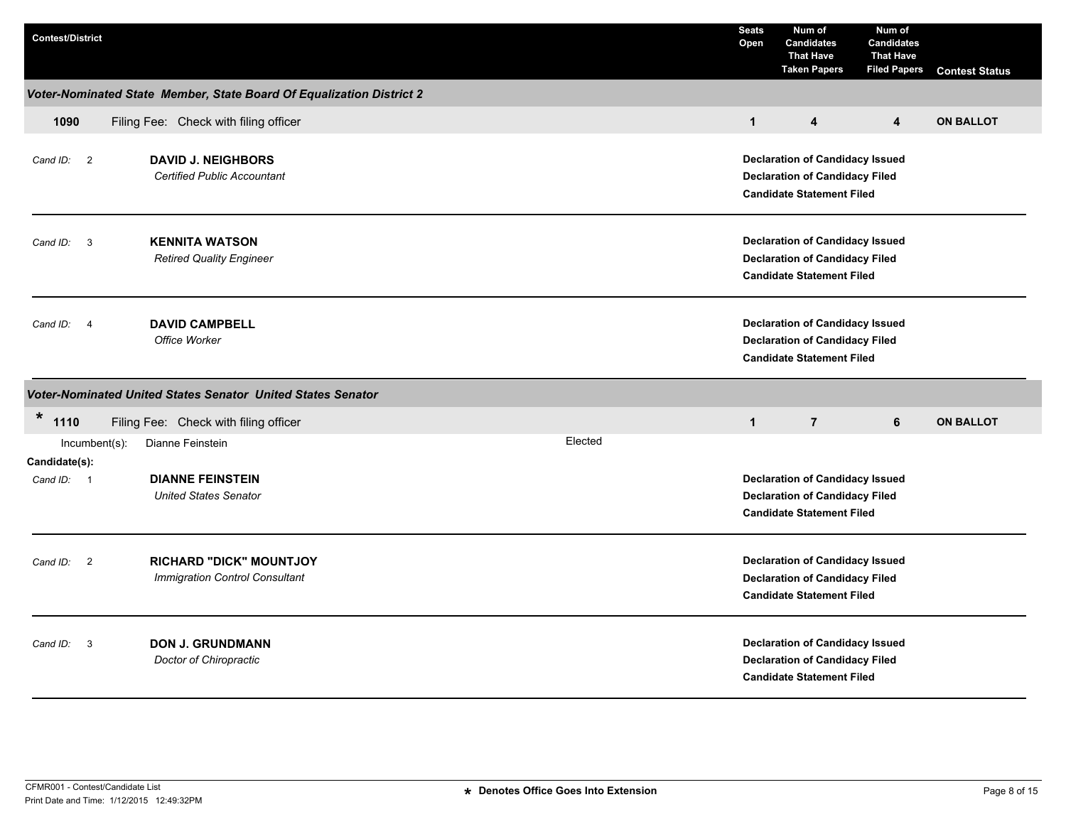| <b>Contest/District</b>                                                       |                                                                      |  |                                                                                                                     | <b>Seats</b><br>Open | Num of<br><b>Candidates</b><br><b>That Have</b><br><b>Taken Papers</b>                                              | Num of<br><b>Candidates</b><br><b>That Have</b><br><b>Filed Papers</b> | <b>Contest Status</b> |  |  |  |
|-------------------------------------------------------------------------------|----------------------------------------------------------------------|--|---------------------------------------------------------------------------------------------------------------------|----------------------|---------------------------------------------------------------------------------------------------------------------|------------------------------------------------------------------------|-----------------------|--|--|--|
|                                                                               | Voter-Nominated State Member, State Board Of Equalization District 2 |  |                                                                                                                     |                      |                                                                                                                     |                                                                        |                       |  |  |  |
| 1090                                                                          | Filing Fee: Check with filing officer                                |  |                                                                                                                     | $\mathbf{1}$         | 4                                                                                                                   | 4                                                                      | <b>ON BALLOT</b>      |  |  |  |
| <b>DAVID J. NEIGHBORS</b><br>Cand ID: 2<br><b>Certified Public Accountant</b> |                                                                      |  |                                                                                                                     |                      | <b>Declaration of Candidacy Issued</b><br><b>Declaration of Candidacy Filed</b><br><b>Candidate Statement Filed</b> |                                                                        |                       |  |  |  |
| -3<br>Cand ID:                                                                | <b>KENNITA WATSON</b><br><b>Retired Quality Engineer</b>             |  | <b>Declaration of Candidacy Issued</b><br><b>Declaration of Candidacy Filed</b><br><b>Candidate Statement Filed</b> |                      |                                                                                                                     |                                                                        |                       |  |  |  |
| Cand ID: 4                                                                    | <b>DAVID CAMPBELL</b><br>Office Worker                               |  |                                                                                                                     |                      | <b>Declaration of Candidacy Issued</b><br><b>Declaration of Candidacy Filed</b><br><b>Candidate Statement Filed</b> |                                                                        |                       |  |  |  |
|                                                                               | Voter-Nominated United States Senator United States Senator          |  |                                                                                                                     |                      |                                                                                                                     |                                                                        |                       |  |  |  |
| $\ast$<br>1110                                                                | Filing Fee: Check with filing officer                                |  |                                                                                                                     | $\mathbf{1}$         | $\overline{7}$                                                                                                      | 6                                                                      | <b>ON BALLOT</b>      |  |  |  |
| Incumbent(s):<br>Candidate(s):                                                | Dianne Feinstein                                                     |  | Elected                                                                                                             |                      |                                                                                                                     |                                                                        |                       |  |  |  |
| Cand ID: 1                                                                    | <b>DIANNE FEINSTEIN</b><br><b>United States Senator</b>              |  |                                                                                                                     |                      | <b>Declaration of Candidacy Issued</b><br><b>Declaration of Candidacy Filed</b><br><b>Candidate Statement Filed</b> |                                                                        |                       |  |  |  |
| Cand ID: 2                                                                    | <b>RICHARD "DICK" MOUNTJOY</b><br>Immigration Control Consultant     |  |                                                                                                                     |                      | <b>Declaration of Candidacy Issued</b><br><b>Declaration of Candidacy Filed</b><br><b>Candidate Statement Filed</b> |                                                                        |                       |  |  |  |
| $\mathbf{3}$<br>Cand ID:                                                      | <b>DON J. GRUNDMANN</b><br>Doctor of Chiropractic                    |  |                                                                                                                     |                      | <b>Declaration of Candidacy Issued</b><br><b>Declaration of Candidacy Filed</b><br><b>Candidate Statement Filed</b> |                                                                        |                       |  |  |  |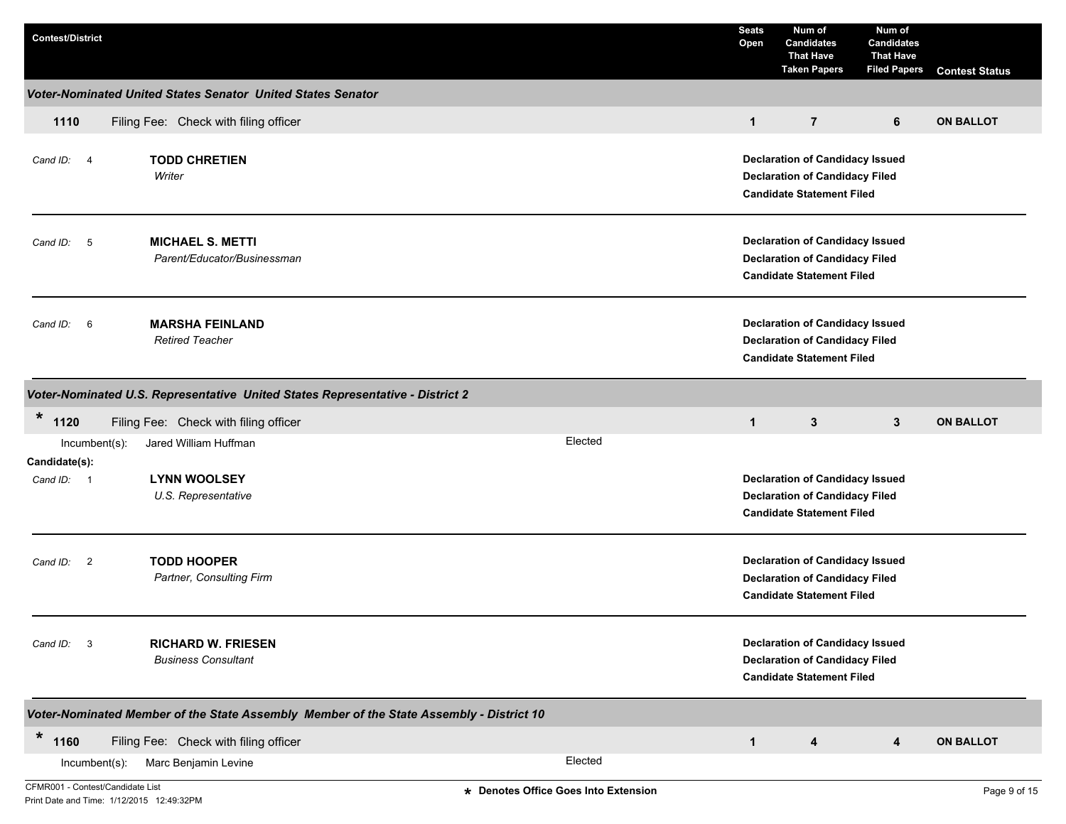| <b>Contest/District</b>          |                                                                               |                                                                                         | <b>Seats</b><br>Open                                                                                                | Num of<br><b>Candidates</b><br><b>That Have</b><br><b>Taken Papers</b>                                              | Num of<br><b>Candidates</b><br><b>That Have</b><br><b>Filed Papers</b> | <b>Contest Status</b> |  |  |
|----------------------------------|-------------------------------------------------------------------------------|-----------------------------------------------------------------------------------------|---------------------------------------------------------------------------------------------------------------------|---------------------------------------------------------------------------------------------------------------------|------------------------------------------------------------------------|-----------------------|--|--|
|                                  | <b>Voter-Nominated United States Senator United States Senator</b>            |                                                                                         |                                                                                                                     |                                                                                                                     |                                                                        |                       |  |  |
| 1110                             | Filing Fee: Check with filing officer                                         |                                                                                         | $\mathbf{1}$                                                                                                        | $\overline{7}$                                                                                                      | 6                                                                      | <b>ON BALLOT</b>      |  |  |
| Cand ID: 4                       | <b>TODD CHRETIEN</b><br>Writer                                                |                                                                                         |                                                                                                                     | <b>Declaration of Candidacy Issued</b><br><b>Declaration of Candidacy Filed</b><br><b>Candidate Statement Filed</b> |                                                                        |                       |  |  |
| Cand ID: 5                       | <b>MICHAEL S. METTI</b><br>Parent/Educator/Businessman                        |                                                                                         | <b>Declaration of Candidacy Issued</b><br><b>Declaration of Candidacy Filed</b><br><b>Candidate Statement Filed</b> |                                                                                                                     |                                                                        |                       |  |  |
| Cand ID: 6                       | <b>MARSHA FEINLAND</b><br><b>Retired Teacher</b>                              |                                                                                         |                                                                                                                     |                                                                                                                     |                                                                        |                       |  |  |
|                                  | Voter-Nominated U.S. Representative United States Representative - District 2 |                                                                                         |                                                                                                                     |                                                                                                                     |                                                                        |                       |  |  |
| $\ast$<br>1120                   | Filing Fee: Check with filing officer                                         |                                                                                         | $\mathbf{1}$                                                                                                        | 3                                                                                                                   | 3                                                                      | <b>ON BALLOT</b>      |  |  |
| Incumbent(s):<br>Candidate(s):   | Jared William Huffman                                                         | Elected                                                                                 |                                                                                                                     |                                                                                                                     |                                                                        |                       |  |  |
| Cand ID: 1                       | <b>LYNN WOOLSEY</b><br>U.S. Representative                                    |                                                                                         |                                                                                                                     | <b>Declaration of Candidacy Issued</b><br><b>Declaration of Candidacy Filed</b><br><b>Candidate Statement Filed</b> |                                                                        |                       |  |  |
| Cand ID: 2                       | <b>TODD HOOPER</b><br>Partner, Consulting Firm                                |                                                                                         |                                                                                                                     | <b>Declaration of Candidacy Issued</b><br><b>Declaration of Candidacy Filed</b><br><b>Candidate Statement Filed</b> |                                                                        |                       |  |  |
| Cand ID: 3                       | <b>RICHARD W. FRIESEN</b><br><b>Business Consultant</b>                       |                                                                                         |                                                                                                                     | <b>Declaration of Candidacy Issued</b><br><b>Declaration of Candidacy Filed</b><br><b>Candidate Statement Filed</b> |                                                                        |                       |  |  |
|                                  |                                                                               | Voter-Nominated Member of the State Assembly Member of the State Assembly - District 10 |                                                                                                                     |                                                                                                                     |                                                                        |                       |  |  |
| $\star$<br>1160                  | Filing Fee: Check with filing officer                                         |                                                                                         | $\mathbf{1}$                                                                                                        | 4                                                                                                                   | 4                                                                      | <b>ON BALLOT</b>      |  |  |
| Incumbent(s):                    | Marc Benjamin Levine                                                          | Elected                                                                                 |                                                                                                                     |                                                                                                                     |                                                                        |                       |  |  |
| CFMR001 - Contest/Candidate List |                                                                               | * Denotes Office Goes Into Extension                                                    |                                                                                                                     |                                                                                                                     |                                                                        | Page 9 of 15          |  |  |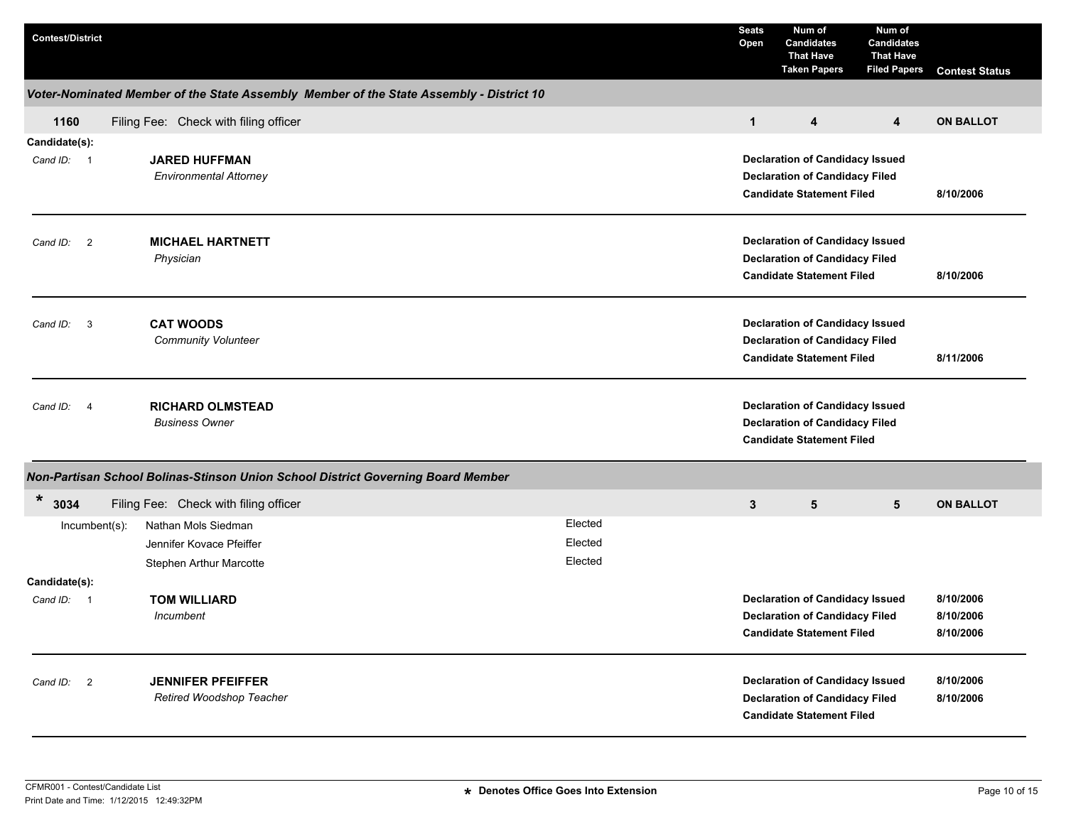| <b>Contest/District</b>     |                                                                                         |  |                               | <b>Seats</b><br>Open                                                                                                                          | Num of<br><b>Candidates</b><br><b>That Have</b><br><b>Taken Papers</b>                                              | Num of<br><b>Candidates</b><br><b>That Have</b><br><b>Filed Papers</b> | <b>Contest Status</b>               |
|-----------------------------|-----------------------------------------------------------------------------------------|--|-------------------------------|-----------------------------------------------------------------------------------------------------------------------------------------------|---------------------------------------------------------------------------------------------------------------------|------------------------------------------------------------------------|-------------------------------------|
|                             | Voter-Nominated Member of the State Assembly Member of the State Assembly - District 10 |  |                               |                                                                                                                                               |                                                                                                                     |                                                                        |                                     |
| 1160                        | Filing Fee: Check with filing officer                                                   |  |                               | $\mathbf{1}$                                                                                                                                  | 4                                                                                                                   | $\overline{4}$                                                         | <b>ON BALLOT</b>                    |
| Candidate(s):<br>Cand ID: 1 | <b>JARED HUFFMAN</b><br><b>Environmental Attorney</b>                                   |  |                               |                                                                                                                                               | <b>Declaration of Candidacy Issued</b><br><b>Declaration of Candidacy Filed</b><br><b>Candidate Statement Filed</b> |                                                                        | 8/10/2006                           |
| Cand ID: 2                  | <b>MICHAEL HARTNETT</b><br>Physician                                                    |  |                               | <b>Declaration of Candidacy Issued</b><br><b>Declaration of Candidacy Filed</b><br><b>Candidate Statement Filed</b>                           | 8/10/2006                                                                                                           |                                                                        |                                     |
| Cand ID: 3                  | <b>CAT WOODS</b><br><b>Community Volunteer</b>                                          |  |                               |                                                                                                                                               | <b>Declaration of Candidacy Issued</b><br><b>Declaration of Candidacy Filed</b><br><b>Candidate Statement Filed</b> | 8/11/2006                                                              |                                     |
| Cand ID:<br>$\overline{4}$  | <b>RICHARD OLMSTEAD</b><br><b>Business Owner</b>                                        |  |                               |                                                                                                                                               | <b>Declaration of Candidacy Issued</b><br><b>Declaration of Candidacy Filed</b><br><b>Candidate Statement Filed</b> |                                                                        |                                     |
|                             | Non-Partisan School Bolinas-Stinson Union School District Governing Board Member        |  |                               |                                                                                                                                               |                                                                                                                     |                                                                        |                                     |
| *<br>3034                   | Filing Fee: Check with filing officer                                                   |  |                               | 3                                                                                                                                             | 5                                                                                                                   | 5                                                                      | <b>ON BALLOT</b>                    |
| $Incumbent(s)$ :            | Nathan Mols Siedman<br>Jennifer Kovace Pfeiffer<br>Stephen Arthur Marcotte              |  | Elected<br>Elected<br>Elected |                                                                                                                                               |                                                                                                                     |                                                                        |                                     |
| Candidate(s):               |                                                                                         |  |                               |                                                                                                                                               |                                                                                                                     |                                                                        |                                     |
| Cand ID:<br>- 1             | <b>TOM WILLIARD</b><br>Incumbent                                                        |  |                               |                                                                                                                                               | <b>Declaration of Candidacy Issued</b><br><b>Declaration of Candidacy Filed</b><br><b>Candidate Statement Filed</b> |                                                                        | 8/10/2006<br>8/10/2006<br>8/10/2006 |
| Cand ID: 2                  | <b>JENNIFER PFEIFFER</b><br>Retired Woodshop Teacher                                    |  |                               | <b>Declaration of Candidacy Issued</b><br>8/10/2006<br><b>Declaration of Candidacy Filed</b><br>8/10/2006<br><b>Candidate Statement Filed</b> |                                                                                                                     |                                                                        |                                     |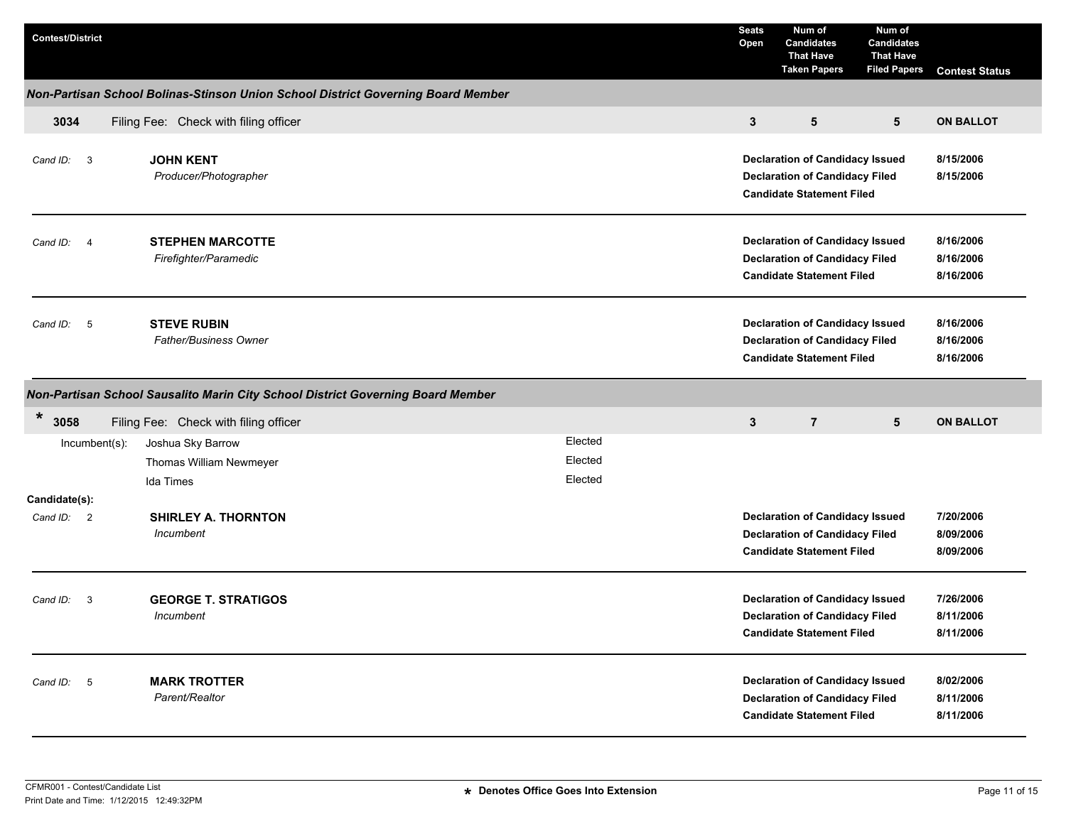| <b>Contest/District</b>    |                                                                                  |  |         | <b>Seats</b><br>Open | Num of<br><b>Candidates</b><br><b>That Have</b><br><b>Taken Papers</b>                                              | Num of<br><b>Candidates</b><br><b>That Have</b><br><b>Filed Papers</b> | <b>Contest Status</b>               |
|----------------------------|----------------------------------------------------------------------------------|--|---------|----------------------|---------------------------------------------------------------------------------------------------------------------|------------------------------------------------------------------------|-------------------------------------|
|                            | Non-Partisan School Bolinas-Stinson Union School District Governing Board Member |  |         |                      |                                                                                                                     |                                                                        |                                     |
| 3034                       | Filing Fee: Check with filing officer                                            |  |         | $\mathbf{3}$         | 5                                                                                                                   | 5                                                                      | <b>ON BALLOT</b>                    |
| Cand ID: 3                 | <b>JOHN KENT</b><br>Producer/Photographer                                        |  |         |                      | <b>Declaration of Candidacy Issued</b><br><b>Declaration of Candidacy Filed</b><br><b>Candidate Statement Filed</b> |                                                                        | 8/15/2006<br>8/15/2006              |
| Cand ID:<br>$\overline{4}$ | <b>STEPHEN MARCOTTE</b><br>Firefighter/Paramedic                                 |  |         |                      | <b>Declaration of Candidacy Issued</b><br><b>Declaration of Candidacy Filed</b><br><b>Candidate Statement Filed</b> |                                                                        | 8/16/2006<br>8/16/2006<br>8/16/2006 |
| $-5$<br>Cand ID:           | <b>STEVE RUBIN</b><br><b>Father/Business Owner</b>                               |  |         |                      | <b>Declaration of Candidacy Issued</b><br><b>Declaration of Candidacy Filed</b><br><b>Candidate Statement Filed</b> |                                                                        | 8/16/2006<br>8/16/2006<br>8/16/2006 |
|                            | Non-Partisan School Sausalito Marin City School District Governing Board Member  |  |         |                      |                                                                                                                     |                                                                        |                                     |
| $\ast$<br>3058             | Filing Fee: Check with filing officer                                            |  |         | $\mathbf{3}$         | $\overline{7}$                                                                                                      | 5                                                                      | <b>ON BALLOT</b>                    |
| Incumbent(s):              | Joshua Sky Barrow                                                                |  | Elected |                      |                                                                                                                     |                                                                        |                                     |
|                            | Thomas William Newmeyer                                                          |  | Elected |                      |                                                                                                                     |                                                                        |                                     |
|                            | Ida Times                                                                        |  | Elected |                      |                                                                                                                     |                                                                        |                                     |
| Candidate(s):              |                                                                                  |  |         |                      |                                                                                                                     |                                                                        |                                     |
| Cand ID: 2                 | <b>SHIRLEY A. THORNTON</b><br>Incumbent                                          |  |         |                      | <b>Declaration of Candidacy Issued</b><br><b>Declaration of Candidacy Filed</b><br><b>Candidate Statement Filed</b> |                                                                        | 7/20/2006<br>8/09/2006<br>8/09/2006 |
| Cand ID:<br>-3             | <b>GEORGE T. STRATIGOS</b><br>Incumbent                                          |  |         |                      | <b>Declaration of Candidacy Issued</b><br><b>Declaration of Candidacy Filed</b><br><b>Candidate Statement Filed</b> |                                                                        | 7/26/2006<br>8/11/2006<br>8/11/2006 |
| Cand ID: 5                 | <b>MARK TROTTER</b><br>Parent/Realtor                                            |  |         |                      | <b>Declaration of Candidacy Issued</b><br><b>Declaration of Candidacy Filed</b><br><b>Candidate Statement Filed</b> |                                                                        | 8/02/2006<br>8/11/2006<br>8/11/2006 |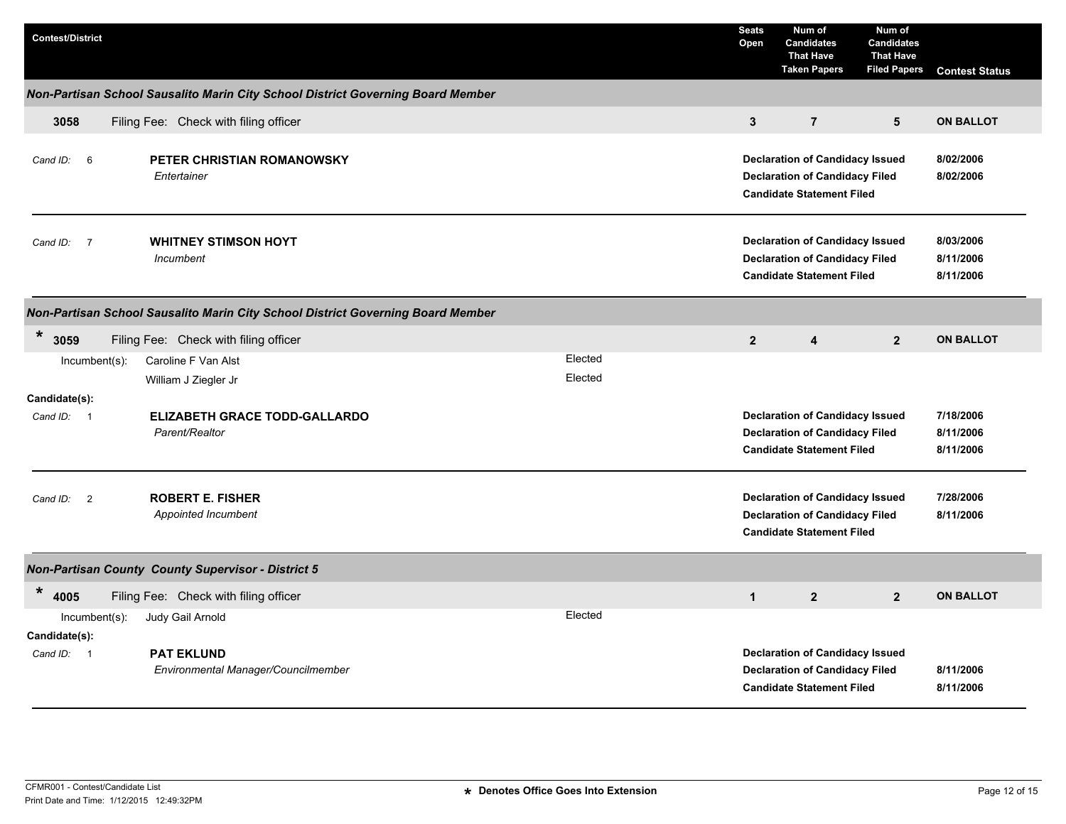| <b>Contest/District</b>                         |                                                                                         | <b>Seats</b><br>Open                                                                                                                          | Num of<br><b>Candidates</b><br><b>That Have</b><br><b>Taken Papers</b>                                              | Num of<br><b>Candidates</b><br><b>That Have</b><br><b>Filed Papers</b> | <b>Contest Status</b>               |  |
|-------------------------------------------------|-----------------------------------------------------------------------------------------|-----------------------------------------------------------------------------------------------------------------------------------------------|---------------------------------------------------------------------------------------------------------------------|------------------------------------------------------------------------|-------------------------------------|--|
|                                                 | Non-Partisan School Sausalito Marin City School District Governing Board Member         |                                                                                                                                               |                                                                                                                     |                                                                        |                                     |  |
| 3058                                            | Filing Fee: Check with filing officer                                                   | $\mathbf{3}$                                                                                                                                  | $\overline{7}$                                                                                                      | $5\phantom{.0}$                                                        | <b>ON BALLOT</b>                    |  |
| $6\overline{6}$<br>Cand ID:                     | PETER CHRISTIAN ROMANOWSKY<br>Entertainer                                               | <b>Declaration of Candidacy Issued</b><br>8/02/2006<br><b>Declaration of Candidacy Filed</b><br>8/02/2006<br><b>Candidate Statement Filed</b> |                                                                                                                     |                                                                        |                                     |  |
| $\overline{7}$<br>Cand ID:                      | <b>WHITNEY STIMSON HOYT</b><br>Incumbent                                                |                                                                                                                                               | <b>Declaration of Candidacy Issued</b><br><b>Declaration of Candidacy Filed</b><br><b>Candidate Statement Filed</b> |                                                                        | 8/03/2006<br>8/11/2006<br>8/11/2006 |  |
|                                                 | Non-Partisan School Sausalito Marin City School District Governing Board Member         |                                                                                                                                               |                                                                                                                     |                                                                        |                                     |  |
| $\ast$<br>3059                                  | Filing Fee: Check with filing officer                                                   | $\boldsymbol{2}$                                                                                                                              | 4                                                                                                                   | $\overline{2}$                                                         | <b>ON BALLOT</b>                    |  |
| Incumbent(s):                                   | Elected<br>Caroline F Van Alst<br>Elected<br>William J Ziegler Jr                       |                                                                                                                                               |                                                                                                                     |                                                                        |                                     |  |
| Candidate(s):<br>Cand ID: 1                     | <b>ELIZABETH GRACE TODD-GALLARDO</b><br>Parent/Realtor                                  |                                                                                                                                               | <b>Declaration of Candidacy Issued</b><br><b>Declaration of Candidacy Filed</b><br><b>Candidate Statement Filed</b> |                                                                        | 7/18/2006<br>8/11/2006<br>8/11/2006 |  |
| $\overline{2}$<br>Cand ID:                      | <b>ROBERT E. FISHER</b><br>Appointed Incumbent                                          |                                                                                                                                               | <b>Declaration of Candidacy Issued</b><br><b>Declaration of Candidacy Filed</b><br><b>Candidate Statement Filed</b> |                                                                        | 7/28/2006<br>8/11/2006              |  |
|                                                 | <b>Non-Partisan County County Supervisor - District 5</b>                               |                                                                                                                                               |                                                                                                                     |                                                                        |                                     |  |
| $\ast$<br>4005                                  | Filing Fee: Check with filing officer                                                   | $\mathbf{1}$                                                                                                                                  | $\overline{2}$                                                                                                      | $\overline{2}$                                                         | <b>ON BALLOT</b>                    |  |
| $Incumbent(s)$ :<br>Candidate(s):<br>Cand ID: 1 | Elected<br>Judy Gail Arnold<br><b>PAT EKLUND</b><br>Environmental Manager/Councilmember |                                                                                                                                               | <b>Declaration of Candidacy Issued</b><br><b>Declaration of Candidacy Filed</b>                                     |                                                                        | 8/11/2006                           |  |
|                                                 |                                                                                         |                                                                                                                                               | <b>Candidate Statement Filed</b>                                                                                    |                                                                        | 8/11/2006                           |  |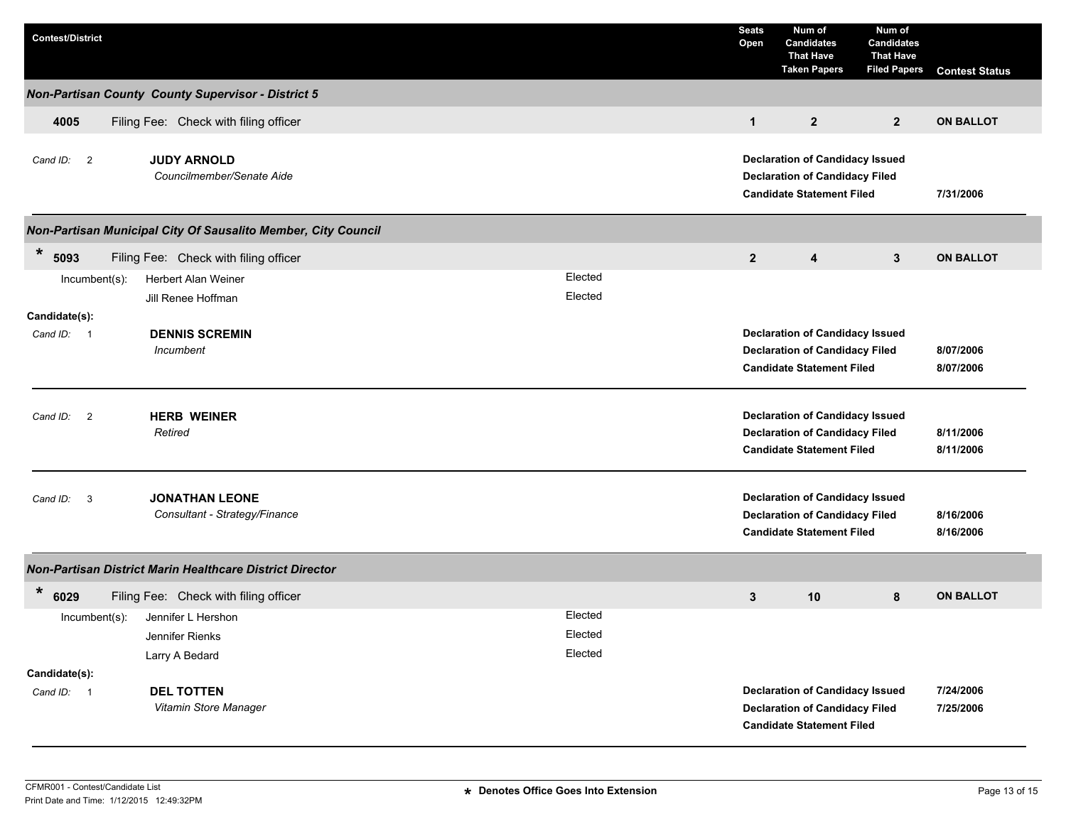| <b>Contest/District</b>              |                                                               |         | <b>Seats</b><br>Open                                                                                                | Num of<br><b>Candidates</b><br><b>That Have</b><br><b>Taken Papers</b>                                              | Num of<br><b>Candidates</b><br><b>That Have</b><br><b>Filed Papers</b> | <b>Contest Status</b>  |
|--------------------------------------|---------------------------------------------------------------|---------|---------------------------------------------------------------------------------------------------------------------|---------------------------------------------------------------------------------------------------------------------|------------------------------------------------------------------------|------------------------|
|                                      | <b>Non-Partisan County County Supervisor - District 5</b>     |         |                                                                                                                     |                                                                                                                     |                                                                        |                        |
| 4005                                 | Filing Fee: Check with filing officer                         |         | $\mathbf{1}$                                                                                                        | $\overline{2}$                                                                                                      | $\overline{2}$                                                         | <b>ON BALLOT</b>       |
| Cand ID: 2                           | <b>JUDY ARNOLD</b><br>Councilmember/Senate Aide               |         | <b>Declaration of Candidacy Issued</b><br><b>Declaration of Candidacy Filed</b><br><b>Candidate Statement Filed</b> |                                                                                                                     |                                                                        | 7/31/2006              |
|                                      | Non-Partisan Municipal City Of Sausalito Member, City Council |         |                                                                                                                     |                                                                                                                     |                                                                        |                        |
| $\star$<br>5093                      | Filing Fee: Check with filing officer                         |         | $\overline{2}$                                                                                                      | 4                                                                                                                   | 3                                                                      | <b>ON BALLOT</b>       |
| $Incumbent(s)$ :                     | Herbert Alan Weiner                                           | Elected |                                                                                                                     |                                                                                                                     |                                                                        |                        |
|                                      | Jill Renee Hoffman                                            | Elected |                                                                                                                     |                                                                                                                     |                                                                        |                        |
| Candidate(s):<br>Cand ID: 1          | <b>DENNIS SCREMIN</b><br>Incumbent                            |         | <b>Declaration of Candidacy Issued</b><br><b>Declaration of Candidacy Filed</b><br><b>Candidate Statement Filed</b> |                                                                                                                     |                                                                        | 8/07/2006<br>8/07/2006 |
| $\overline{\phantom{0}}$<br>Cand ID: | <b>HERB WEINER</b><br>Retired                                 |         | <b>Declaration of Candidacy Issued</b><br><b>Declaration of Candidacy Filed</b><br><b>Candidate Statement Filed</b> |                                                                                                                     |                                                                        | 8/11/2006<br>8/11/2006 |
| $\overline{\mathbf{3}}$<br>Cand ID:  | <b>JONATHAN LEONE</b><br>Consultant - Strategy/Finance        |         | <b>Declaration of Candidacy Issued</b><br><b>Declaration of Candidacy Filed</b><br><b>Candidate Statement Filed</b> |                                                                                                                     |                                                                        | 8/16/2006<br>8/16/2006 |
|                                      | Non-Partisan District Marin Healthcare District Director      |         |                                                                                                                     |                                                                                                                     |                                                                        |                        |
| $\ast$<br>6029                       | Filing Fee: Check with filing officer                         |         | 3                                                                                                                   | 10                                                                                                                  | 8                                                                      | <b>ON BALLOT</b>       |
| Incumbent(s):                        | Jennifer L Hershon                                            | Elected |                                                                                                                     |                                                                                                                     |                                                                        |                        |
|                                      | Jennifer Rienks                                               | Elected |                                                                                                                     |                                                                                                                     |                                                                        |                        |
| Candidate(s):                        | Larry A Bedard                                                | Elected |                                                                                                                     |                                                                                                                     |                                                                        |                        |
| Cand ID: 1                           | <b>DEL TOTTEN</b><br>Vitamin Store Manager                    |         |                                                                                                                     | <b>Declaration of Candidacy Issued</b><br><b>Declaration of Candidacy Filed</b><br><b>Candidate Statement Filed</b> |                                                                        | 7/24/2006<br>7/25/2006 |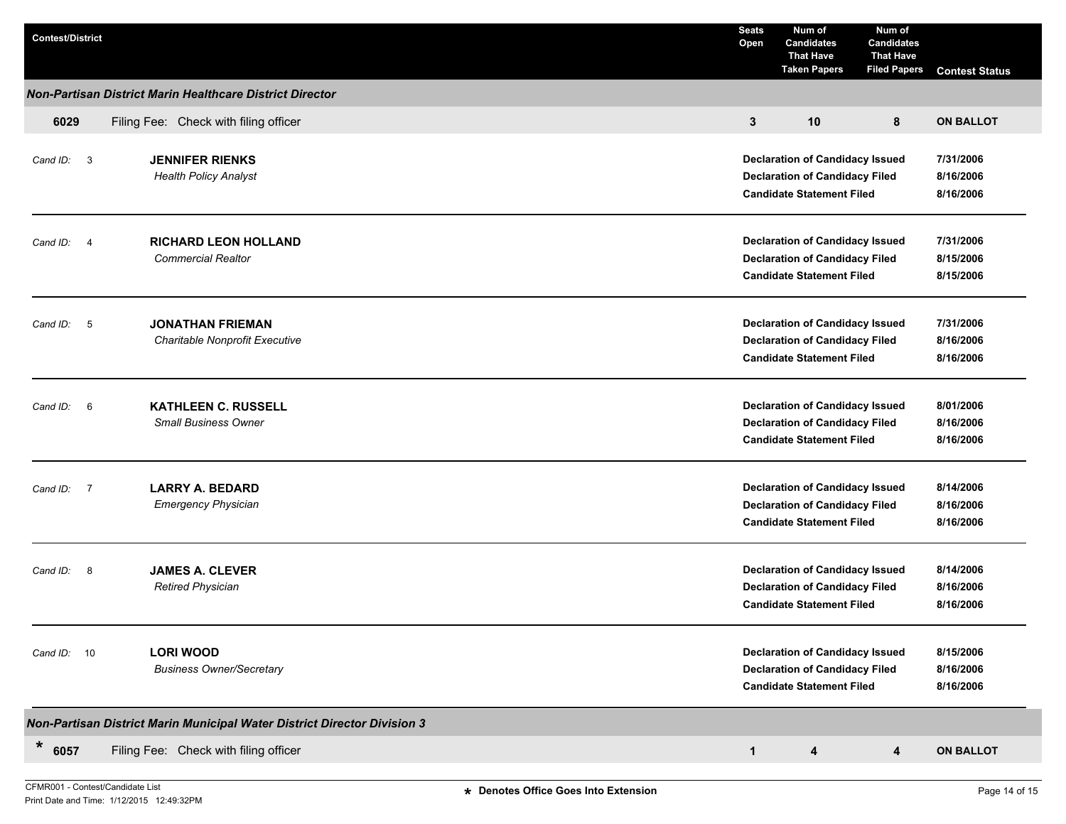| <b>Contest/District</b>                                  |                                                                                 | <b>Seats</b><br>Open | Num of<br><b>Candidates</b><br><b>That Have</b><br><b>Taken Papers</b>                                              | Num of<br><b>Candidates</b><br><b>That Have</b><br><b>Filed Papers</b> | <b>Contest Status</b>               |  |  |
|----------------------------------------------------------|---------------------------------------------------------------------------------|----------------------|---------------------------------------------------------------------------------------------------------------------|------------------------------------------------------------------------|-------------------------------------|--|--|
| Non-Partisan District Marin Healthcare District Director |                                                                                 |                      |                                                                                                                     |                                                                        |                                     |  |  |
| 6029                                                     | Filing Fee: Check with filing officer                                           |                      | 10                                                                                                                  | 8                                                                      | <b>ON BALLOT</b>                    |  |  |
| Cand ID: 3                                               | <b>JENNIFER RIENKS</b><br><b>Health Policy Analyst</b>                          |                      | <b>Declaration of Candidacy Issued</b><br><b>Declaration of Candidacy Filed</b><br><b>Candidate Statement Filed</b> |                                                                        | 7/31/2006<br>8/16/2006<br>8/16/2006 |  |  |
| Cand ID: 4                                               | <b>RICHARD LEON HOLLAND</b><br><b>Commercial Realtor</b>                        |                      | <b>Declaration of Candidacy Issued</b><br><b>Declaration of Candidacy Filed</b><br><b>Candidate Statement Filed</b> |                                                                        | 7/31/2006<br>8/15/2006<br>8/15/2006 |  |  |
| Cand ID: 5                                               | <b>JONATHAN FRIEMAN</b><br>Charitable Nonprofit Executive                       |                      | <b>Declaration of Candidacy Issued</b><br><b>Declaration of Candidacy Filed</b><br><b>Candidate Statement Filed</b> |                                                                        | 7/31/2006<br>8/16/2006<br>8/16/2006 |  |  |
| Cand ID:<br>6                                            | <b>KATHLEEN C. RUSSELL</b><br><b>Small Business Owner</b>                       |                      | <b>Declaration of Candidacy Issued</b><br><b>Declaration of Candidacy Filed</b><br><b>Candidate Statement Filed</b> |                                                                        | 8/01/2006<br>8/16/2006<br>8/16/2006 |  |  |
| Cand ID:<br>$\overline{7}$                               | <b>LARRY A. BEDARD</b><br><b>Emergency Physician</b>                            |                      | <b>Declaration of Candidacy Issued</b><br><b>Declaration of Candidacy Filed</b><br><b>Candidate Statement Filed</b> |                                                                        | 8/14/2006<br>8/16/2006<br>8/16/2006 |  |  |
| Cand ID:<br>$_{\rm 8}$                                   | <b>JAMES A. CLEVER</b><br><b>Retired Physician</b>                              |                      | <b>Declaration of Candidacy Issued</b><br><b>Declaration of Candidacy Filed</b><br><b>Candidate Statement Filed</b> | 8/14/2006<br>8/16/2006<br>8/16/2006                                    |                                     |  |  |
| 10<br>Cand ID:                                           | <b>LORI WOOD</b><br><b>Business Owner/Secretary</b>                             |                      | <b>Declaration of Candidacy Issued</b><br><b>Declaration of Candidacy Filed</b><br><b>Candidate Statement Filed</b> |                                                                        | 8/15/2006<br>8/16/2006<br>8/16/2006 |  |  |
|                                                          | <b>Non-Partisan District Marin Municipal Water District Director Division 3</b> |                      |                                                                                                                     |                                                                        |                                     |  |  |
| $\star$<br>6057                                          | Filing Fee: Check with filing officer                                           | $\mathbf{1}$         | 4                                                                                                                   | 4                                                                      | <b>ON BALLOT</b>                    |  |  |